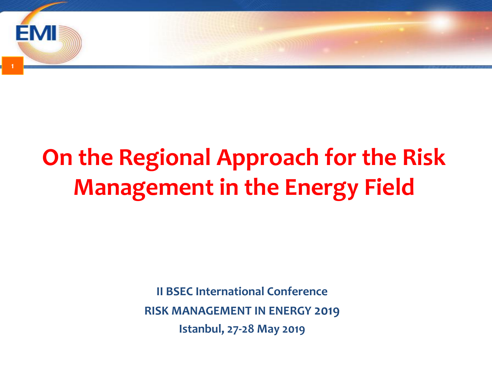

# **On the Regional Approach for the Risk Management in the Energy Field**

**II BSEC International Conference RISK MANAGEMENT IN ENERGY 2019 Istanbul, 27-28 May 2019**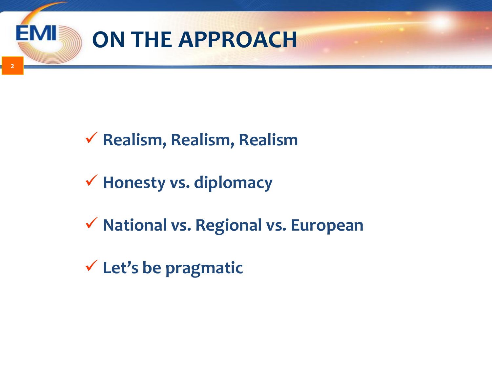

**2**

### **Realism, Realism, Realism**

- **Honesty vs. diplomacy**
- **National vs. Regional vs. European**
- **Let's be pragmatic**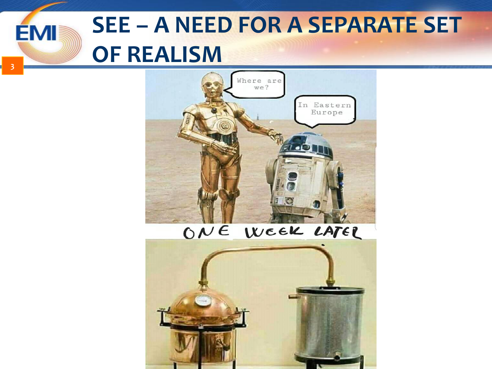#### **SEE – A NEED FOR A SEPARATE SET EMI OF REALISM**

**3**



#### ONE WEEK LATER

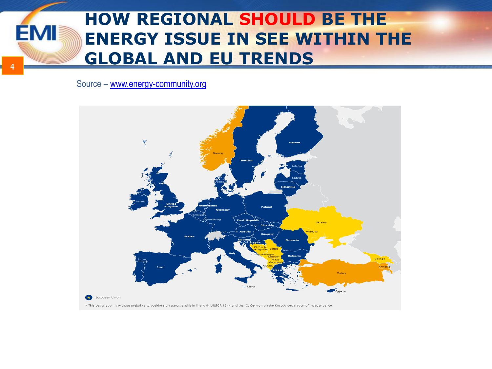#### **HOW REGIONAL SHOULD BE THE EMI ENERGY ISSUE IN SEE WITHIN THE GLOBAL AND EU TRENDS**

Source – [www.energy-community.org](http://www.energy-community.org/)



**4**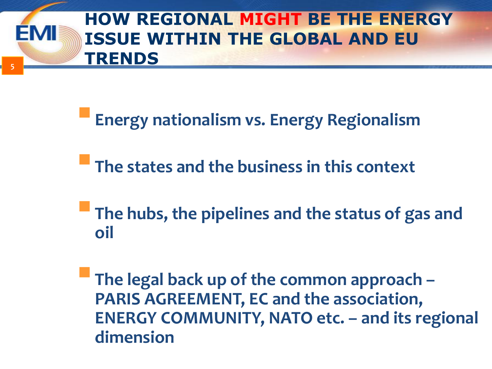#### **5 HOW REGIONAL MIGHT BE THE ENERGY ISSUE WITHIN THE GLOBAL AND EU TRENDS**

**Energy nationalism vs. Energy Regionalism**

**The states and the business in this context**

**The hubs, the pipelines and the status of gas and oil**

**The legal back up of the common approach – PARIS AGREEMENT, EC and the association, ENERGY COMMUNITY, NATO etc. – and its regional dimension**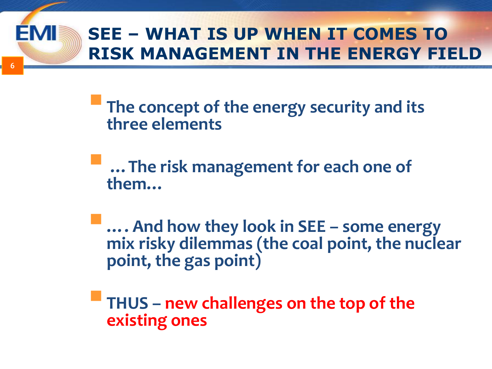## **SEE – WHAT IS UP WHEN IT COMES TO RISK MANAGEMENT IN THE ENERGY FIELD**

**6**

**The concept of the energy security and its three elements** 

 **…The risk management for each one of them…**

**…. And how they look in SEE – some energy mix risky dilemmas (the coal point, the nuclear point, the gas point)**

**THUS – new challenges on the top of the existing ones**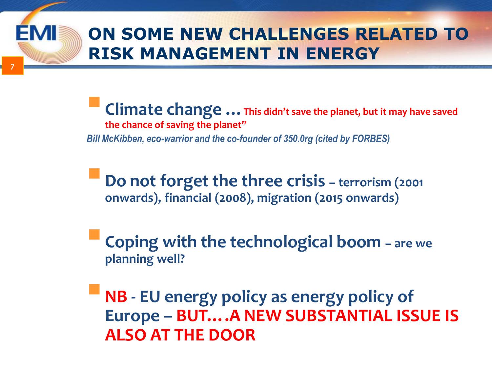#### **7 ON SOME NEW CHALLENGES RELATED TO RISK MANAGEMENT IN ENERGY**

**Climate change …This didn't save the planet, but it may have saved the chance of saving the planet"**  *Bill McKibben, eco-warrior and the co-founder of 350.0rg (cited by FORBES)* 

**Do not forget the three crisis – terrorism (2001) onwards), financial (2008), migration (2015 onwards)**

**Coping with the technological boom – are we planning well?**

**NB - EU energy policy as energy policy of Europe – BUT….A NEW SUBSTANTIAL ISSUE IS ALSO AT THE DOOR**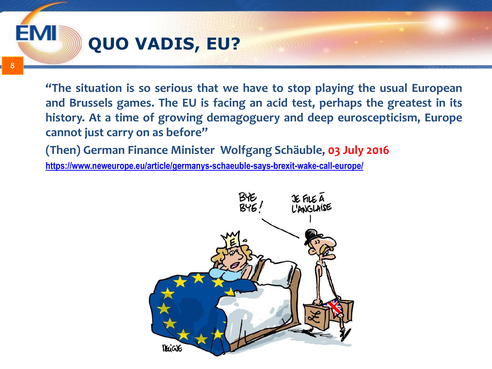

**8**

EMI

**"The situation is so serious that we have to stop playing the usual European and Brussels games. The EU is facing an acid test, perhaps the greatest in its history. At a time of growing demagoguery and deep euroscepticism, Europe cannot just carry on as before"**

**(Then) German Finance Minister Wolfgang Schäuble, 03 July 2016**

**<https://www.neweurope.eu/article/germanys-schaeuble-says-brexit-wake-call-europe/>**

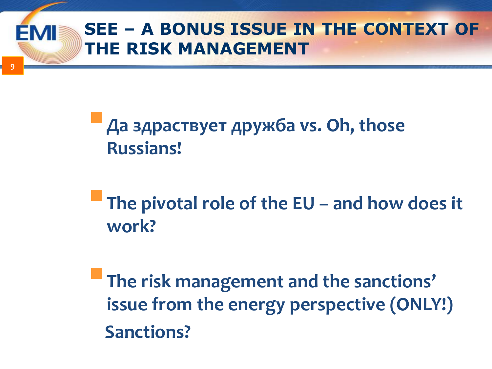### **SEE – A BONUS ISSUE IN THE CONTEXT OF THE RISK MANAGEMENT**

**9**

## **Да здраствует дружба vs. Oh, those Russians!**

**The pivotal role of the EU – and how does it work?**

**The risk management and the sanctions' issue from the energy perspective (ONLY!) Sanctions?**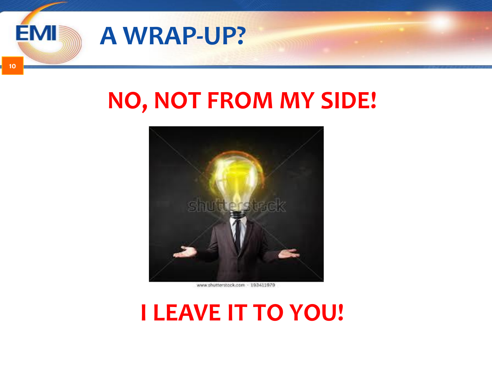

**10**

# **NO, NOT FROM MY SIDE!**



www.shutterstock.com - 193411979

## **I LEAVE IT TO YOU!**